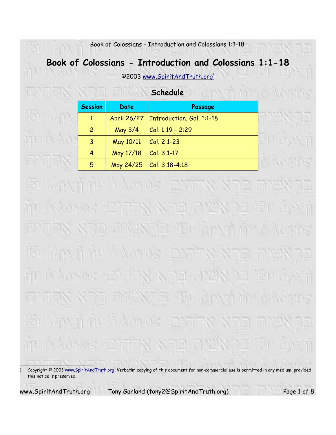# **Book of Colossians - Introduction and Colossians 1:1-18**

©2003 www.SpiritAndTruth.org 1

|                | Schedule    |                                         |  |
|----------------|-------------|-----------------------------------------|--|
| <b>Session</b> | <b>Date</b> | Passage                                 |  |
|                |             | April 26/27   Introduction, Gal. 1:1-18 |  |
| $\overline{c}$ | May 3/4     | $ C_{0} $ , 1:19 - 2:29                 |  |
| 3              | May 10/11   | $ Col. 2:1-23 $                         |  |
| 4              | May 17/18   | $ Col. 3:1-17$                          |  |
| 5              |             | May 24/25 $ Col. 3:18-4:18$             |  |

av fi tir û Amus **Rin** n kai ni al n a Vorius ni in ai Amilas <u>ie Min</u> Manus and 

www.SpiritAndTruth.org Tony Garland (tony2@SpiritAndTruth.org) Page 1 of 8

S

同

'S

<sup>1</sup> Copyright @ 2003 www.SpiritAndTruth.org. Verbatim copying of this document for non-commercial use is permitted in any medium, provided this notice is preserved.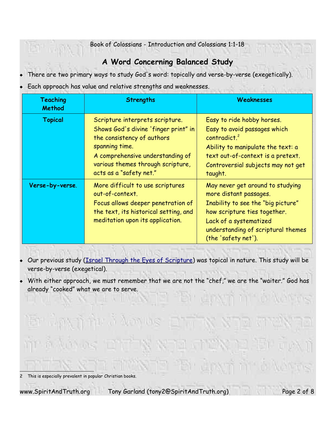# **A Word Concerning Balanced Study**

- There are two primary ways to study God's word: topically and verse-by-verse (exegetically).
- Each approach has value and relative strengths and weaknesses.

| <b>Teaching</b><br><b>Method</b> | <b>Strengths</b>                                                                                                                                                                                                            | Weaknesses                                                                                                                                                                                                              |
|----------------------------------|-----------------------------------------------------------------------------------------------------------------------------------------------------------------------------------------------------------------------------|-------------------------------------------------------------------------------------------------------------------------------------------------------------------------------------------------------------------------|
| <b>Topical</b>                   | Scripture interprets scripture.<br>Shows God's divine 'finger print" in<br>the consistency of authors<br>spanning time.<br>A comprehensive understanding of<br>various themes through scripture,<br>acts as a "safety net." | Easy to ride hobby horses.<br>Easy to avoid passages which<br>contradict. <sup>2</sup><br>Ability to manipulate the text: a<br>text out-of-context is a pretext.<br>Controversial subjects may not get<br>taught.       |
| Verse-by-verse.                  | More difficult to use scriptures<br>out-of-context.<br>Focus allows deeper penetration of<br>the text, its historical setting, and<br>meditation upon its application.                                                      | May never get around to studying<br>more distant passages.<br>Inability to see the "big picture"<br>how scripture ties together.<br>Lack of a systematized<br>understanding of scriptural themes<br>(the 'safety net'). |

- Our previous study (*Israel Through the Eyes of Scripture*) was topical in nature. This study will be verse-by-verse (exegetical).
- With either approach, we must remember that we are not the "chef," we are the "waiter." God has already "cooked" what we are to serve.



<sup>2</sup> This is especially prevalent in popular Christian books.

www.SpiritAndTruth.org Tony Garland (tony2@SpiritAndTruth.org) Page 2 of 8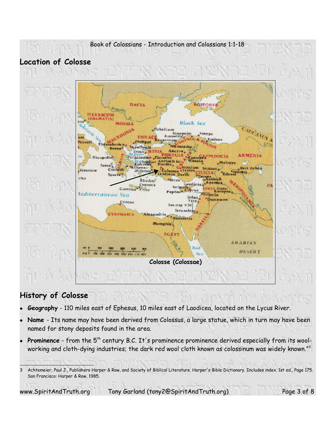

# **Location of Colosse**



## **History of Colosse**

- **Geography** 110 miles east of Ephesus, 10 miles east of Laodicea, located on the Lycus River.
- **Name** Its name may have been derived from Colossus, a large statue, which in turn may have been named for stony deposits found in the area.
- Prominence from the 5<sup>th</sup> century B.C. It's prominence prominence derived especially from its woolworking and cloth-dying industries; the dark red wool cloth known as colossinum was widely known."3

www.SpiritAndTruth.org Tony Garland (tony2@SpiritAndTruth.org) Page 3 of 8

<sup>3</sup> Achtemeier, Paul J., Publishers Harper & Row, and Society of Biblical Literature. Harper's Bible Dictionary. Includes index. 1st ed., Page 175. San Francisco: Harper & Row, 1985.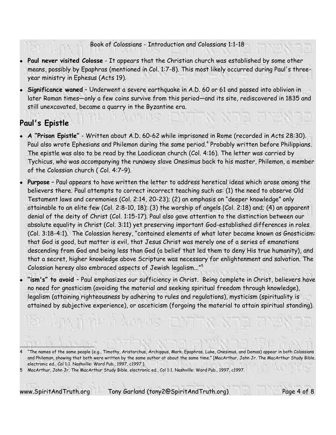- **Paul never visited Colosse** It appears that the Christian church was established by some other means, possibly by Epaphras (mentioned in Col. 1:7-8). This most likely occurred during Paul's threeyear ministry in Ephesus (Acts 19).
- **Significance waned** Underwent a severe earthquake in A.D. 60 or 61 and passed into oblivion in later Roman times—only a few coins survive from this period—and its site, rediscovered in 1835 and still unexcavated, became a quarry in the Byzantine era.

# **Paul's Epistle**

- **A "Prison Epistle"** Written about A.D. 60-62 while imprisoned in Rome (recorded in Acts 28:30). Paul also wrote Ephesians and Philemon during the same period. 4 Probably written before Philippians. The epistle was also to be read by the Laodicean church (Col. 4:16). The letter was carried by Tychicus, who was accompanying the runaway slave Onesimus back to his master, Philemon, a member of the Colossian church ( Col. 4:7–9).
- **Purpose** Paul appears to have written the letter to address heretical ideas which arose among the believers there. Paul attempts to correct incorrect teaching such as: (1) the need to observe Old Testament laws and ceremonies (Col. 2:14, 20-23); (2) an emphasis on "deeper knowledge" only attainable to an elite few (Col. 2:8-10, 18); (3) the worship of angels (Col. 2:18) and; (4) an apparent denial of the deity of Christ (Col. 1:15-17). Paul also gave attention to the distinction between our absolute equality in Christ (Col. 3:11) yet preserving important God-established differences in roles (Col. 3:18-4:1). The Colossian heresy, "contained elements of what later became known as Gnosticism: that God is good, but matter is evil, that Jesus Christ was merely one of a series of emanations descending from God and being less than God (a belief that led them to deny His true humanity), and that a secret, higher knowledge above Scripture was necessary for enlightenment and salvation. The Colossian heresy also embraced aspects of Jewish legalism..." $^{\rm 5}$
- **"ism's" to avoid**  Paul emphasizes our sufficiency in Christ. Being complete in Christ, believers have no need for gnosticism (avoiding the material and seeking spiritual freedom through knowledge), legalism (attaining righteousness by adhering to rules and regulations), mysticism (spirituality is attained by subjective experience), or asceticism (forgoing the material to attain spiritual standing).

en m

www.SpiritAndTruth.org Tony Garland (tony2@SpiritAndTruth.org) Page 4 of 8

<sup>4</sup> "The names of the same people (e.g., Timothy, Aristarchus, Archippus, Mark, Epaphras, Luke, Onesimus, and Demas) appear in both Colossians and Phileman, showing that both were written by the same author at about the same time." [MacArthur, John Jr. The MacArthur Study Bible. electronic ed., Col 1:1. Nashville: Word Pub., 1997, c1997.]

<sup>5</sup> MacArthur, John Jr. The MacArthur Study Bible. electronic ed., Col 1:1. Nashville: Word Pub., 1997, c1997.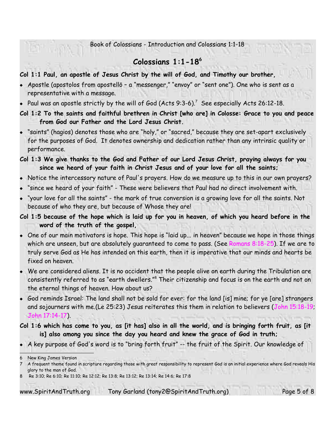## **Colossians 1:1-18 6**

#### **Col 1:1 Paul, an apostle of Jesus Christ by the will of God, and Timothy our brother,**

- Apostle (apostolos from apostellō a "messenger," "envoy" or "sent one"). One who is sent as a representative with a message.
- $\bullet$  Paul was an apostle strictly by the will of God (Acts 9:3-6). $^7$  See especially Acts 26:12-18.
- **Col 1:2 To the saints and faithful brethren in Christ [who are] in Colosse: Grace to you and peace from God our Father and the Lord Jesus Christ.**
- "saints" (hagios) denotes those who are "holy," or "sacred," because they are set-apart exclusively for the purposes of God. It denotes ownership and dedication rather than any intrinsic quality or performance.
- **Col 1:3 We give thanks to the God and Father of our Lord Jesus Christ, praying always for you since we heard of your faith in Christ Jesus and of your love for all the saints;**
- Notice the intercessory nature of Paul's prayers. How do we measure up to this in our own prayers?
- "since we heard of your faith" These were believers that Paul had no direct involvement with.
- "your love for all the saints" the mark of true conversion is a growing love for all the saints. Not because of who they are, but because of Whose they are!
- **Col 1:5 because of the hope which is laid up for you in heaven, of which you heard before in the word of the truth of the gospel,**
- One of our main motivators is hope. This hope is "laid up... in heaven" because we hope in those things which are unseen, but are absolutely guaranteed to come to pass. (See Romans 8:18-25). If we are to truly serve God as He has intended on this earth, then it is imperative that our minds and hearts be fixed on heaven.
- We are considered aliens. It is no accident that the people alive on earth during the Tribulation are consistently referred to as "earth dwellers."<sup>8</sup> Their citizenship and focus is on the earth and not on the eternal things of heaven. How about us?
- God reminds Israel: The land shall not be sold for ever: for the land [is] mine; for ye [are] strangers and sojourners with me.(Le 25:23) Jesus reiterates this them in relation to believers (John 15:18-19; John 17:14-17).

**Col 1:6 which has come to you, as [it has] also in all the world, and is bringing forth fruit, as [it is] also among you since the day you heard and knew the grace of God in truth;**

A key purpose of God's word is to "bring forth fruit" -- the fruit of the Spirit. Our knowledge of

www.SpiritAndTruth.org Tony Garland (tony2@SpiritAndTruth.org) Page 5 of 8

<sup>6</sup> New King James Version 7 A frequent theme found in scripture regarding those with great responsibility to represent God is an initial experience where God reveals His glory to the man of God.

<sup>8</sup> Re 3:10; Re 6:10; Re 11:10; Re 12:12; Re 13:8; Re 13:12; Re 13:14; Re 14:6; Re 17:8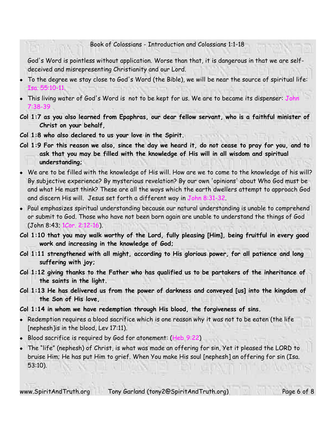God's Word is pointless without application. Worse than that, it is dangerous in that we are selfdeceived and misrepresenting Christianity and our Lord.

- To the degree we stay close to God's Word (the Bible), we will be near the source of spiritual life: Isa. 55:10-11.
- This living water of God's Word is not to be kept for us. We are to became its dispenser: John 7:38-39
- **Col 1:7 as you also learned from Epaphras, our dear fellow servant, who is a faithful minister of Christ on your behalf,**
- **Col 1:8 who also declared to us your love in the Spirit.**
- **Col 1:9 For this reason we also, since the day we heard it, do not cease to pray for you, and to ask that you may be filled with the knowledge of His will in all wisdom and spiritual understanding;**
- We are to be filled with the knowledge of His will. How are we to come to the knowledge of his will? By subjective experience? By mysterious revelation? By our own 'opinions' about Who God must be and what He must think? These are all the ways which the earth dwellers attempt to approach God and discern His will. Jesus set forth a different way in John 8:31-32.
- Paul emphasizes spiritual understanding because our natural understanding is unable to comprehend or submit to God. Those who have not been born again are unable to understand the things of God (John 8:43; 1Cor. 2:12-16).
- **Col 1:10 that you may walk worthy of the Lord, fully pleasing [Him], being fruitful in every good work and increasing in the knowledge of God;**
- **Col 1:11 strengthened with all might, according to His glorious power, for all patience and long suffering with joy;**
- **Col 1:12 giving thanks to the Father who has qualified us to be partakers of the inheritance of the saints in the light.**
- **Col 1:13 He has delivered us from the power of darkness and conveyed [us] into the kingdom of the Son of His love,**

#### **Col 1:14 in whom we have redemption through His blood, the forgiveness of sins.**

- $\bullet$  Redemption requires a blood sacrifice which is one reason why it was not to be eaten (the life [nephesh]is in the blood, Lev 17:11).
- Blood sacrifice is required by God for atonement: (Heb 9:22)
- The "life" (nephesh) of Christ, is what was made an offering for sin, Yet it pleased the LORD to bruise Him; He has put Him to grief. When You make His soul [nephesh] an offering for sin (Isa. 53:10).

www.SpiritAndTruth.org Tony Garland (tony2@SpiritAndTruth.org) Page 6 of 8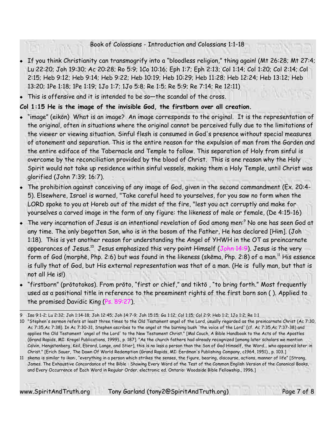- If you think Christianity can transmogrify into a "bloodless religion," thing again! (Mt 26:28; Mt 27:4; Lu 22:20; Joh 19:30; Ac 20:28; Ro 5:9; 1Co 10:16; Eph 1:7; Eph 2:13; Col 1:14; Col 1:20; Col 2:14; Col 2:15; Heb 9:12; Heb 9:14; Heb 9:22; Heb 10:19; Heb 10:29; Heb 11:28; Heb 12:24; Heb 13:12; Heb 13:20; 1Pe 1:18; 1Pe 1:19; 1Jo 1:7; 1Jo 5:8; Re 1:5; Re 5:9; Re 7:14; Re 12:11)
- This is offensive and it is intended to be so—the scandal of the cross.

### **Col 1:15 He is the image of the invisible God, the firstborn over all creation.**

- "image" (eikōn) What is an image? An image corresponds to the original. It is the representation of the original, often in situations where the original cannot be perceived fully due to the limitations of the viewer or viewing situation. Sinful flesh is consumed in God's presence without special measures of atonement and separation. This is the entire reason for the expulsion of man from the Garden and the entire ediface of the Tabernacle and Temple to follow. This separation of Holy from sinful is overcome by the reconciliation provided by the blood of Christ. This is one reason why the Holy Spirit would not take up residence within sinful vessels, making them a Holy Temple, until Christ was glorified (John 7:39; 16:7).
- The prohibition against conceiving of any image of God, given in the second commandment (Ex. 20:4- 5). Elsewhere, Israel is warned, "Take careful heed to yourselves, for you saw no form when the LORD spoke to you at Horeb out of the midst of the fire, "lest you act corruptly and make for yourselves a carved image in the form of any figure: the likeness of male or female, (De 4:15-16)
- The very incarnation of Jesus is an intentional revelation of God among men:<sup>9</sup> No one has seen God at any time. The only begotten Son, who is in the bosom of the Father, He has declared [Him]. (Joh 1:18). This is yet another reason for understanding the Angel of YHWH in the OT as preincarnate appearances of Jesus.<sup>10</sup> Jesus emphasized this very point Himself (John 14:9). Jesus is the very form of God (morphē, Php. 2:6) but was found in the likeness (skēma, Php. 2:8) of a man. <sup>11</sup> His essence is fully that of God, but His external representation was that of a man. (He is fully man, but that is not all He is!)
- "firstborn" (prōtotokos). From prōto, "first or chief," and tiktō , "to bring forth." Most frequently used as a positional title in reference to the preeminent rights of the first born son ( ). Applied to the promised Davidic King (Ps. 89:27).

www.SpiritAndTruth.org Tony Garland (tony2@SpiritAndTruth.org) Page 7 of 8

<sup>9</sup> Isa 9:1-2; Lu 2:32; Joh 1:14-18; Joh 12:45; Joh 14:7-9; Joh 15:15; Ga 1:12; Col 1:15; Col 2:9; Heb 1:2; 1Jo 1:2; Re 1:1

<sup>10</sup> "Stephen's sermon refers at least three times to the Old Testament angel of the Lord, usually regarded as the preincarnate Christ (Ac 7:30, Ac 7:35,Ac 7:38). In Ac 7:30-31, Stephen ascribes to the angel at the burning bush 'the voice of the Lord' (cf. Ac 7:35,Ac 7:37-38) and applies the Old Testament 'angel of the Lord' to the New Testament Christ." [Mal Couch, A Bible Handbook to the Acts of the Apostles (Grand Rapids, MI: Kregel Publications, 1999)., p. 187]. "As the church fathers had already recognized [among later scholars we mention Calvin, Hengstenberg, Keil, Ebrard, Lange, and Stier], this is no less a person than the Son of God Himself, the Word... who appeared later in Christ." [Erich Sauer, The Dawn Of World Redemption (Grand Rapids, MI: Eerdman's Publishing Company, c1964, 1951)., p. 103.]

<sup>11</sup> skema is similar to ikon:, "everything in a person which strikes the senses, the figure, bearing, discourse, actions, manner of life" [Strong, James. The Exhaustive Concordance of the Bible : Showing Every Word of the Test of the Common English Version of the Canonical Books, and Every Occurrence of Each Word in Regular Order. electronic ed. Ontario: Woodside Bible Fellowship., 1996.]